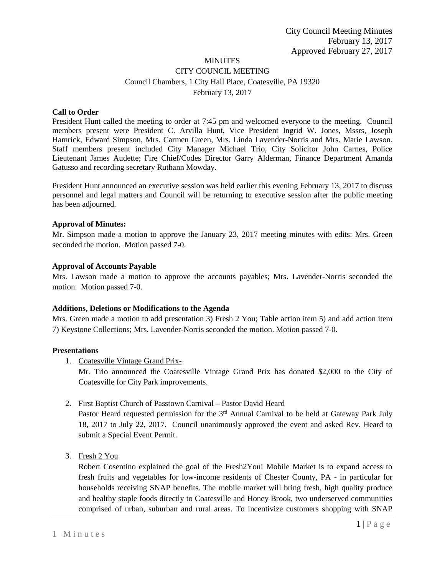# **MINUTES** CITY COUNCIL MEETING Council Chambers, 1 City Hall Place, Coatesville, PA 19320 February 13, 2017

#### **Call to Order**

President Hunt called the meeting to order at 7:45 pm and welcomed everyone to the meeting. Council members present were President C. Arvilla Hunt, Vice President Ingrid W. Jones, Mssrs, Joseph Hamrick, Edward Simpson, Mrs. Carmen Green, Mrs. Linda Lavender-Norris and Mrs. Marie Lawson. Staff members present included City Manager Michael Trio, City Solicitor John Carnes, Police Lieutenant James Audette; Fire Chief/Codes Director Garry Alderman, Finance Department Amanda Gatusso and recording secretary Ruthann Mowday.

President Hunt announced an executive session was held earlier this evening February 13, 2017 to discuss personnel and legal matters and Council will be returning to executive session after the public meeting has been adjourned.

#### **Approval of Minutes:**

Mr. Simpson made a motion to approve the January 23, 2017 meeting minutes with edits: Mrs. Green seconded the motion. Motion passed 7-0.

#### **Approval of Accounts Payable**

Mrs. Lawson made a motion to approve the accounts payables; Mrs. Lavender-Norris seconded the motion. Motion passed 7-0.

#### **Additions, Deletions or Modifications to the Agenda**

Mrs. Green made a motion to add presentation 3) Fresh 2 You; Table action item 5) and add action item 7) Keystone Collections; Mrs. Lavender-Norris seconded the motion. Motion passed 7-0.

#### **Presentations**

1. Coatesville Vintage Grand Prix-

Mr. Trio announced the Coatesville Vintage Grand Prix has donated \$2,000 to the City of Coatesville for City Park improvements.

2. First Baptist Church of Passtown Carnival – Pastor David Heard

Pastor Heard requested permission for the  $3<sup>rd</sup>$  Annual Carnival to be held at Gateway Park July 18, 2017 to July 22, 2017. Council unanimously approved the event and asked Rev. Heard to submit a Special Event Permit.

3. Fresh 2 You

Robert Cosentino explained the goal of the Fresh2You! Mobile Market is to expand access to fresh fruits and vegetables for low-income residents of Chester County, PA - in particular for households receiving SNAP benefits. The mobile market will bring fresh, high quality produce and healthy staple foods directly to Coatesville and Honey Brook, two underserved communities comprised of urban, suburban and rural areas. To incentivize customers shopping with SNAP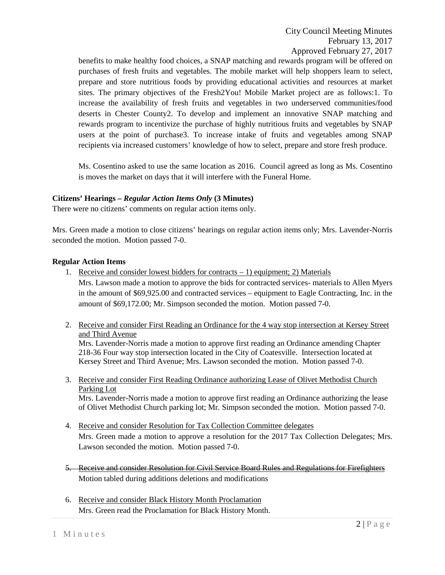benefits to make healthy food choices, a SNAP matching and rewards program will be offered on purchases of fresh fruits and vegetables. The mobile market will help shoppers learn to select, prepare and store nutritious foods by providing educational activities and resources at market sites. The primary objectives of the Fresh2You! Mobile Market project are as follows:1. To increase the availability of fresh fruits and vegetables in two underserved communities/food deserts in Chester County2. To develop and implement an innovative SNAP matching and rewards program to incentivize the purchase of highly nutritious fruits and vegetables by SNAP users at the point of purchase3. To increase intake of fruits and vegetables among SNAP recipients via increased customers' knowledge of how to select, prepare and store fresh produce.

Ms. Cosentino asked to use the same location as 2016. Council agreed as long as Ms. Cosentino is moves the market on days that it will interfere with the Funeral Home.

## **Citizens' Hearings –** *Regular Action Items Only* **(3 Minutes)**

There were no citizens' comments on regular action items only.

Mrs. Green made a motion to close citizens' hearings on regular action items only; Mrs. Lavender-Norris seconded the motion. Motion passed 7-0.

## **Regular Action Items**

1. Receive and consider lowest bidders for contracts  $-1$ ) equipment; 2) Materials

Mrs. Lawson made a motion to approve the bids for contracted services- materials to Allen Myers in the amount of \$69,925.00 and contracted services – equipment to Eagle Contracting, Inc. in the amount of \$69,172.00; Mr. Simpson seconded the motion. Motion passed 7-0.

2. Receive and consider First Reading an Ordinance for the 4 way stop intersection at Kersey Street and Third Avenue

Mrs. Lavender-Norris made a motion to approve first reading an Ordinance amending Chapter 218-36 Four way stop intersection located in the City of Coatesville. Intersection located at Kersey Street and Third Avenue; Mrs. Lawson seconded the motion. Motion passed 7-0.

3. Receive and consider First Reading Ordinance authorizing Lease of Olivet Methodist Church Parking Lot

Mrs. Lavender-Norris made a motion to approve first reading an Ordinance authorizing the lease of Olivet Methodist Church parking lot; Mr. Simpson seconded the motion. Motion passed 7-0.

- 4. Receive and consider Resolution for Tax Collection Committee delegates Mrs. Green made a motion to approve a resolution for the 2017 Tax Collection Delegates; Mrs. Lawson seconded the motion. Motion passed 7-0.
- 5. Receive and consider Resolution for Civil Service Board Rules and Regulations for Firefighters Motion tabled during additions deletions and modifications
- 6. Receive and consider Black History Month Proclamation Mrs. Green read the Proclamation for Black History Month.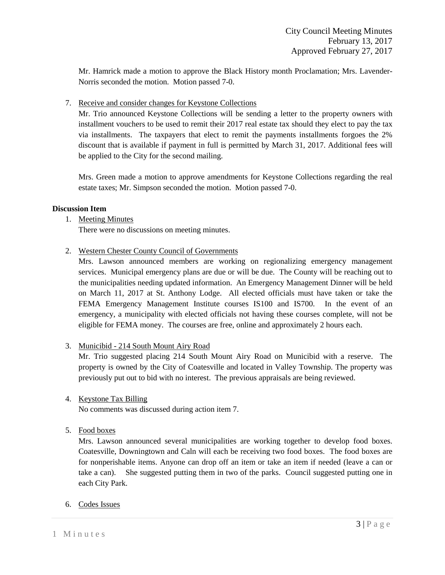Mr. Hamrick made a motion to approve the Black History month Proclamation; Mrs. Lavender-Norris seconded the motion. Motion passed 7-0.

## 7. Receive and consider changes for Keystone Collections

Mr. Trio announced Keystone Collections will be sending a letter to the property owners with installment vouchers to be used to remit their 2017 real estate tax should they elect to pay the tax via installments. The taxpayers that elect to remit the payments installments forgoes the 2% discount that is available if payment in full is permitted by March 31, 2017. Additional fees will be applied to the City for the second mailing.

Mrs. Green made a motion to approve amendments for Keystone Collections regarding the real estate taxes; Mr. Simpson seconded the motion. Motion passed 7-0.

## **Discussion Item**

## 1. Meeting Minutes

There were no discussions on meeting minutes.

2. Western Chester County Council of Governments

Mrs. Lawson announced members are working on regionalizing emergency management services. Municipal emergency plans are due or will be due. The County will be reaching out to the municipalities needing updated information. An Emergency Management Dinner will be held on March 11, 2017 at St. Anthony Lodge. All elected officials must have taken or take the FEMA Emergency Management Institute courses IS100 and IS700. In the event of an emergency, a municipality with elected officials not having these courses complete, will not be eligible for FEMA money. The courses are free, online and approximately 2 hours each.

3. Municibid - 214 South Mount Airy Road

Mr. Trio suggested placing 214 South Mount Airy Road on Municibid with a reserve. The property is owned by the City of Coatesville and located in Valley Township. The property was previously put out to bid with no interest. The previous appraisals are being reviewed.

## 4. Keystone Tax Billing

No comments was discussed during action item 7.

## 5. Food boxes

Mrs. Lawson announced several municipalities are working together to develop food boxes. Coatesville, Downingtown and Caln will each be receiving two food boxes. The food boxes are for nonperishable items. Anyone can drop off an item or take an item if needed (leave a can or take a can). She suggested putting them in two of the parks. Council suggested putting one in each City Park.

6. Codes Issues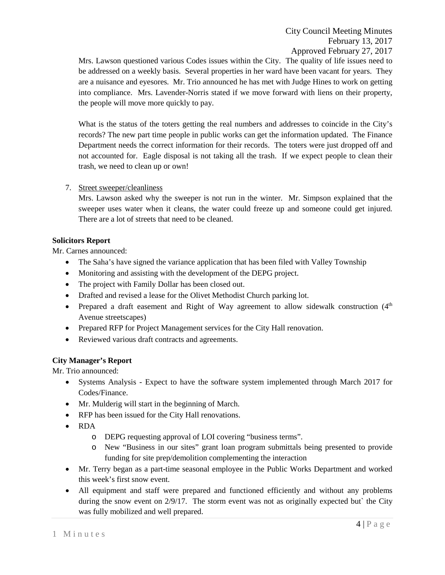Mrs. Lawson questioned various Codes issues within the City. The quality of life issues need to be addressed on a weekly basis. Several properties in her ward have been vacant for years. They are a nuisance and eyesores. Mr. Trio announced he has met with Judge Hines to work on getting into compliance. Mrs. Lavender-Norris stated if we move forward with liens on their property, the people will move more quickly to pay.

What is the status of the toters getting the real numbers and addresses to coincide in the City's records? The new part time people in public works can get the information updated. The Finance Department needs the correct information for their records. The toters were just dropped off and not accounted for. Eagle disposal is not taking all the trash. If we expect people to clean their trash, we need to clean up or own!

# 7. Street sweeper/cleanliness

Mrs. Lawson asked why the sweeper is not run in the winter. Mr. Simpson explained that the sweeper uses water when it cleans, the water could freeze up and someone could get injured. There are a lot of streets that need to be cleaned.

# **Solicitors Report**

Mr. Carnes announced:

- The Saha's have signed the variance application that has been filed with Valley Township
- Monitoring and assisting with the development of the DEPG project.
- The project with Family Dollar has been closed out.
- Drafted and revised a lease for the Olivet Methodist Church parking lot.
- Prepared a draft easement and Right of Way agreement to allow sidewalk construction (4<sup>th</sup> Avenue streetscapes)
- Prepared RFP for Project Management services for the City Hall renovation.
- Reviewed various draft contracts and agreements.

# **City Manager's Report**

Mr. Trio announced:

- Systems Analysis Expect to have the software system implemented through March 2017 for Codes/Finance.
- Mr. Mulderig will start in the beginning of March.
- RFP has been issued for the City Hall renovations.
- RDA
	- o DEPG requesting approval of LOI covering "business terms".
	- o New "Business in our sites" grant loan program submittals being presented to provide funding for site prep/demolition complementing the interaction
- Mr. Terry began as a part-time seasonal employee in the Public Works Department and worked this week's first snow event.
- All equipment and staff were prepared and functioned efficiently and without any problems during the snow event on 2/9/17. The storm event was not as originally expected but` the City was fully mobilized and well prepared.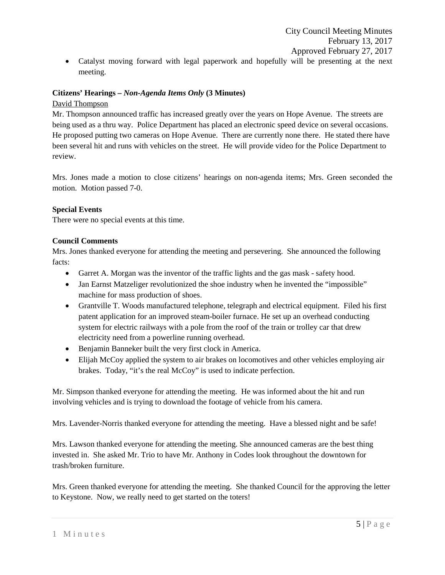• Catalyst moving forward with legal paperwork and hopefully will be presenting at the next meeting.

## **Citizens' Hearings –** *Non-Agenda Items Only* **(3 Minutes)**

## David Thompson

Mr. Thompson announced traffic has increased greatly over the years on Hope Avenue. The streets are being used as a thru way. Police Department has placed an electronic speed device on several occasions. He proposed putting two cameras on Hope Avenue. There are currently none there. He stated there have been several hit and runs with vehicles on the street. He will provide video for the Police Department to review.

Mrs. Jones made a motion to close citizens' hearings on non-agenda items; Mrs. Green seconded the motion. Motion passed 7-0.

## **Special Events**

There were no special events at this time.

## **Council Comments**

Mrs. Jones thanked everyone for attending the meeting and persevering. She announced the following facts:

- Garret A. Morgan was the inventor of the traffic lights and the gas mask safety hood.
- Jan Earnst Matzeliger revolutionized the shoe industry when he invented the "impossible" machine for mass production of shoes.
- Grantville T. Woods manufactured telephone, telegraph and electrical equipment. Filed his first patent application for an improved steam-boiler furnace. He set up an overhead conducting system for electric railways with a pole from the roof of the train or trolley car that drew electricity need from a powerline running overhead.
- Benjamin Banneker built the very first clock in America.
- Elijah McCoy applied the system to air brakes on locomotives and other vehicles employing air brakes. Today, "it's the real McCoy" is used to indicate perfection.

Mr. Simpson thanked everyone for attending the meeting. He was informed about the hit and run involving vehicles and is trying to download the footage of vehicle from his camera.

Mrs. Lavender-Norris thanked everyone for attending the meeting. Have a blessed night and be safe!

Mrs. Lawson thanked everyone for attending the meeting. She announced cameras are the best thing invested in. She asked Mr. Trio to have Mr. Anthony in Codes look throughout the downtown for trash/broken furniture.

Mrs. Green thanked everyone for attending the meeting. She thanked Council for the approving the letter to Keystone. Now, we really need to get started on the toters!